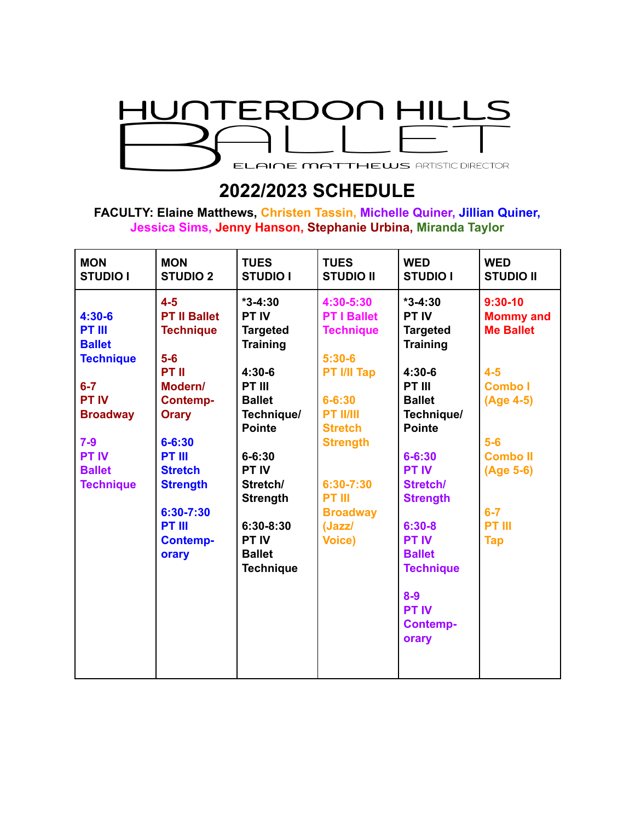

## **2022/2023 SCHEDULE**

**FACULTY: Elaine Matthews, Christen Tassin, Michelle Quiner, Jillian Quiner, Jessica Sims, Jenny Hanson, Stephanie Urbina, Miranda Taylor**

| <b>MON</b><br><b>STUDIO I</b>                                                                                                                                              | <b>MON</b><br><b>STUDIO 2</b>                                                                                                                                                                                                             | <b>TUES</b><br><b>STUDIO I</b>                                                                                                                                                                                                                                         | <b>TUES</b><br><b>STUDIO II</b>                                                                                                                                                                                                              | <b>WED</b><br><b>STUDIO I</b>                                                                                                                                                                                                                                                                                            | <b>WED</b><br><b>STUDIO II</b>                                                                                                                                               |
|----------------------------------------------------------------------------------------------------------------------------------------------------------------------------|-------------------------------------------------------------------------------------------------------------------------------------------------------------------------------------------------------------------------------------------|------------------------------------------------------------------------------------------------------------------------------------------------------------------------------------------------------------------------------------------------------------------------|----------------------------------------------------------------------------------------------------------------------------------------------------------------------------------------------------------------------------------------------|--------------------------------------------------------------------------------------------------------------------------------------------------------------------------------------------------------------------------------------------------------------------------------------------------------------------------|------------------------------------------------------------------------------------------------------------------------------------------------------------------------------|
| $4:30-6$<br><b>PT III</b><br><b>Ballet</b><br><b>Technique</b><br>$6 - 7$<br><b>PT IV</b><br><b>Broadway</b><br>$7-9$<br><b>PT IV</b><br><b>Ballet</b><br><b>Technique</b> | $4 - 5$<br><b>PT II Ballet</b><br><b>Technique</b><br>$5-6$<br>PT II<br>Modern/<br><b>Contemp-</b><br><b>Orary</b><br>$6 - 6:30$<br><b>PT III</b><br><b>Stretch</b><br><b>Strength</b><br>6:30-7:30<br>PT III<br><b>Contemp-</b><br>orary | $*3-4:30$<br><b>PT IV</b><br><b>Targeted</b><br><b>Training</b><br>$4:30-6$<br>PT III<br><b>Ballet</b><br>Technique/<br><b>Pointe</b><br>$6 - 6:30$<br><b>PT IV</b><br>Stretch/<br><b>Strength</b><br>$6:30-8:30$<br><b>PT IV</b><br><b>Ballet</b><br><b>Technique</b> | 4:30-5:30<br><b>PT I Ballet</b><br><b>Technique</b><br>$5:30-6$<br><b>PT I/II Tap</b><br>$6 - 6:30$<br><b>PT II/III</b><br><b>Stretch</b><br><b>Strength</b><br>$6:30 - 7:30$<br><b>PT III</b><br><b>Broadway</b><br>(Jazz/<br><b>Voice)</b> | $*3-4:30$<br><b>PT IV</b><br><b>Targeted</b><br><b>Training</b><br>$4:30-6$<br>PT III<br><b>Ballet</b><br>Technique/<br><b>Pointe</b><br>$6 - 6:30$<br><b>PT IV</b><br>Stretch/<br><b>Strength</b><br>$6:30-8$<br><b>PT IV</b><br><b>Ballet</b><br><b>Technique</b><br>$8-9$<br><b>PT IV</b><br><b>Contemp-</b><br>orary | $9:30-10$<br><b>Mommy and</b><br><b>Me Ballet</b><br>$4-5$<br><b>Combo</b> I<br>(Age 4-5)<br>$5-6$<br><b>Combo II</b><br>(Age 5-6)<br>$6 - 7$<br><b>PT III</b><br><b>Tap</b> |
|                                                                                                                                                                            |                                                                                                                                                                                                                                           |                                                                                                                                                                                                                                                                        |                                                                                                                                                                                                                                              |                                                                                                                                                                                                                                                                                                                          |                                                                                                                                                                              |